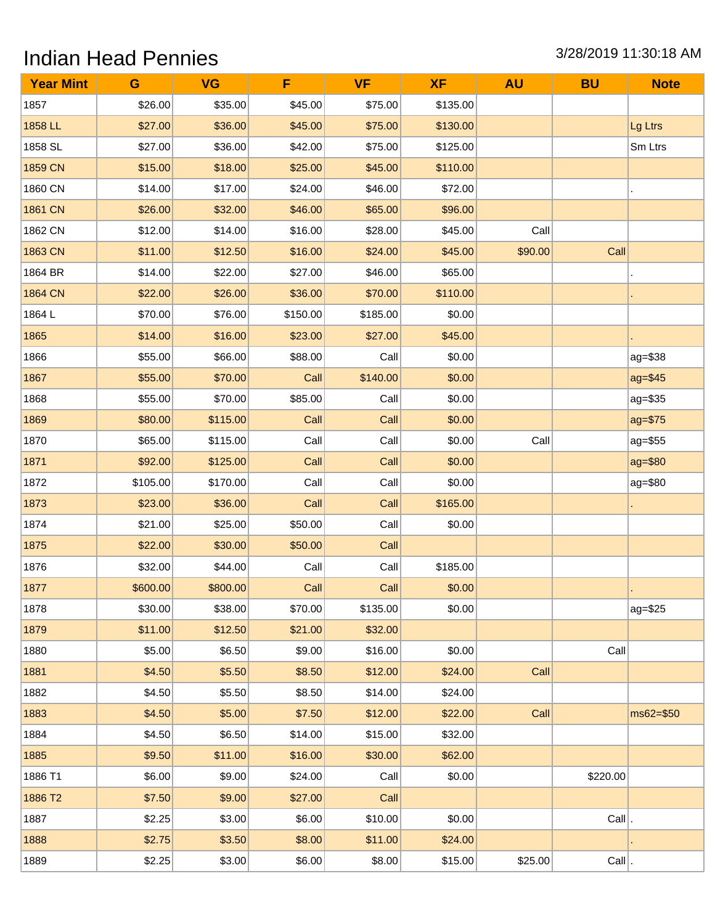## Indian Head Pennies 3/28/2019 11:30:18 AM

| <b>Year Mint</b> | G        | <b>VG</b> | F        | <b>VF</b> | <b>XF</b> | <b>AU</b> | <b>BU</b> | <b>Note</b> |
|------------------|----------|-----------|----------|-----------|-----------|-----------|-----------|-------------|
| 1857             | \$26.00  | \$35.00   | \$45.00  | \$75.00   | \$135.00  |           |           |             |
| 1858 LL          | \$27.00  | \$36.00   | \$45.00  | \$75.00   | \$130.00  |           |           | Lg Ltrs     |
| 1858 SL          | \$27.00  | \$36.00   | \$42.00  | \$75.00   | \$125.00  |           |           | Sm Ltrs     |
| 1859 CN          | \$15.00  | \$18.00   | \$25.00  | \$45.00   | \$110.00  |           |           |             |
| 1860 CN          | \$14.00  | \$17.00   | \$24.00  | \$46.00   | \$72.00   |           |           |             |
| 1861 CN          | \$26.00  | \$32.00   | \$46.00  | \$65.00   | \$96.00   |           |           |             |
| 1862 CN          | \$12.00  | \$14.00   | \$16.00  | \$28.00   | \$45.00   | Call      |           |             |
| 1863 CN          | \$11.00  | \$12.50   | \$16.00  | \$24.00   | \$45.00   | \$90.00   | Call      |             |
| 1864 BR          | \$14.00  | \$22.00   | \$27.00  | \$46.00   | \$65.00   |           |           |             |
| 1864 CN          | \$22.00  | \$26.00   | \$36.00  | \$70.00   | \$110.00  |           |           |             |
| 1864L            | \$70.00  | \$76.00   | \$150.00 | \$185.00  | \$0.00    |           |           |             |
| 1865             | \$14.00  | \$16.00   | \$23.00  | \$27.00   | \$45.00   |           |           |             |
| 1866             | \$55.00  | \$66.00   | \$88.00  | Call      | \$0.00    |           |           | $ag = $38$  |
| 1867             | \$55.00  | \$70.00   | Call     | \$140.00  | \$0.00    |           |           | ag=\$45     |
| 1868             | \$55.00  | \$70.00   | \$85.00  | Call      | \$0.00    |           |           | $ag = $35$  |
| 1869             | \$80.00  | \$115.00  | Call     | Call      | \$0.00    |           |           | ag=\$75     |
| 1870             | \$65.00  | \$115.00  | Call     | Call      | \$0.00    | Call      |           | $ag = $55$  |
| 1871             | \$92.00  | \$125.00  | Call     | Call      | \$0.00    |           |           | ag=\$80     |
| 1872             | \$105.00 | \$170.00  | Call     | Call      | \$0.00    |           |           | ag=\$80     |
| 1873             | \$23.00  | \$36.00   | Call     | Call      | \$165.00  |           |           |             |
| 1874             | \$21.00  | \$25.00   | \$50.00  | Call      | \$0.00    |           |           |             |
| 1875             | \$22.00  | \$30.00   | \$50.00  | Call      |           |           |           |             |
| 1876             | \$32.00  | \$44.00   | Call     | Call      | \$185.00  |           |           |             |
| 1877             | \$600.00 | \$800.00  | Call     | Call      | \$0.00    |           |           |             |
| 1878             | \$30.00  | \$38.00   | \$70.00  | \$135.00  | \$0.00    |           |           | ag=\$25     |
| 1879             | \$11.00  | \$12.50   | \$21.00  | \$32.00   |           |           |           |             |
| 1880             | \$5.00   | \$6.50    | \$9.00   | \$16.00   | \$0.00    |           | Call      |             |
| 1881             | \$4.50   | \$5.50    | \$8.50   | \$12.00   | \$24.00   | Call      |           |             |
| 1882             | \$4.50   | \$5.50    | \$8.50   | \$14.00   | \$24.00   |           |           |             |
| 1883             | \$4.50   | \$5.00    | \$7.50   | \$12.00   | \$22.00   | Call      |           | ms62=\$50   |
| 1884             | \$4.50   | \$6.50    | \$14.00  | \$15.00   | \$32.00   |           |           |             |
| 1885             | \$9.50   | \$11.00   | \$16.00  | \$30.00   | \$62.00   |           |           |             |
| 1886 T1          | \$6.00   | \$9.00    | \$24.00  | Call      | \$0.00    |           | \$220.00  |             |
| 1886 T2          | \$7.50   | \$9.00    | \$27.00  | Call      |           |           |           |             |
| 1887             | \$2.25   | \$3.00    | \$6.00   | \$10.00   | \$0.00    |           | $Call$ .  |             |
| 1888             | \$2.75   | \$3.50    | \$8.00   | \$11.00   | \$24.00   |           |           |             |
| 1889             | \$2.25   | \$3.00    | \$6.00   | \$8.00    | \$15.00   | \$25.00   | $Call$ .  |             |